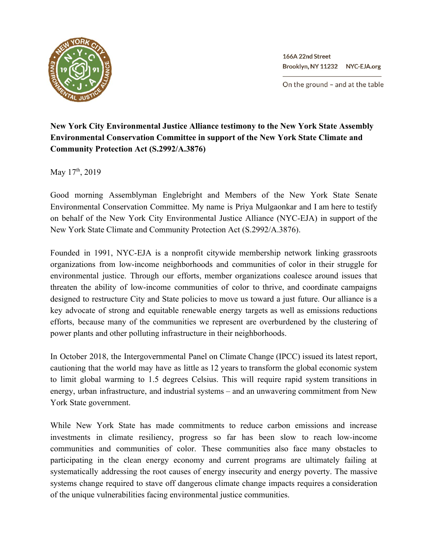

166A 22nd Street Brooklyn, NY 11232 NYC-EJA.org

On the ground - and at the table

## **New York City Environmental Justice Alliance testimony to the New York State Assembly Environmental Conservation Committee in support of the New York State Climate and Community Protection Act (S.2992/A.3876)**

May 17<sup>th</sup>, 2019

Good morning Assemblyman Englebright and Members of the New York State Senate Environmental Conservation Committee. My name is Priya Mulgaonkar and I am here to testify on behalf of the New York City Environmental Justice Alliance (NYC-EJA) in support of the New York State Climate and Community Protection Act (S.2992/A.3876).

Founded in 1991, NYC-EJA is a nonprofit citywide membership network linking grassroots organizations from low-income neighborhoods and communities of color in their struggle for environmental justice. Through our efforts, member organizations coalesce around issues that threaten the ability of low-income communities of color to thrive, and coordinate campaigns designed to restructure City and State policies to move us toward a just future. Our alliance is a key advocate of strong and equitable renewable energy targets as well as emissions reductions efforts, because many of the communities we represent are overburdened by the clustering of power plants and other polluting infrastructure in their neighborhoods.

In October 2018, the Intergovernmental Panel on Climate Change (IPCC) issued its latest report, cautioning that the world may have as little as 12 years to transform the global economic system to limit global warming to 1.5 degrees Celsius. This will require rapid system transitions in energy, urban infrastructure, and industrial systems – and an unwavering commitment from New York State government.

While New York State has made commitments to reduce carbon emissions and increase investments in climate resiliency, progress so far has been slow to reach low-income communities and communities of color. These communities also face many obstacles to participating in the clean energy economy and current programs are ultimately failing at systematically addressing the root causes of energy insecurity and energy poverty. The massive systems change required to stave off dangerous climate change impacts requires a consideration of the unique vulnerabilities facing environmental justice communities.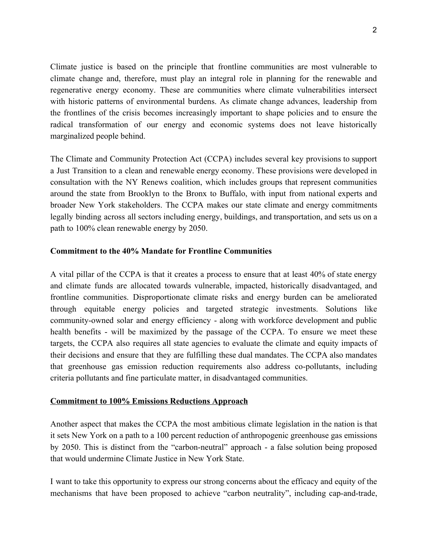Climate justice is based on the principle that frontline communities are most vulnerable to climate change and, therefore, must play an integral role in planning for the renewable and regenerative energy economy. These are communities where climate vulnerabilities intersect with historic patterns of environmental burdens. As climate change advances, leadership from the frontlines of the crisis becomes increasingly important to shape policies and to ensure the radical transformation of our energy and economic systems does not leave historically marginalized people behind.

The Climate and Community Protection Act (CCPA) includes several key provisions to support a Just Transition to a clean and renewable energy economy. These provisions were developed in consultation with the NY Renews coalition, which includes groups that represent communities around the state from Brooklyn to the Bronx to Buffalo, with input from national experts and broader New York stakeholders. The CCPA makes our state climate and energy commitments legally binding across all sectors including energy, buildings, and transportation, and sets us on a path to 100% clean renewable energy by 2050.

## **Commitment to the 40% Mandate for Frontline Communities**

A vital pillar of the CCPA is that it creates a process to ensure that at least 40% of state energy and climate funds are allocated towards vulnerable, impacted, historically disadvantaged, and frontline communities. Disproportionate climate risks and energy burden can be ameliorated through equitable energy policies and targeted strategic investments. Solutions like community-owned solar and energy efficiency - along with workforce development and public health benefits - will be maximized by the passage of the CCPA. To ensure we meet these targets, the CCPA also requires all state agencies to evaluate the climate and equity impacts of their decisions and ensure that they are fulfilling these dual mandates. The CCPA also mandates that greenhouse gas emission reduction requirements also address co-pollutants, including criteria pollutants and fine particulate matter, in disadvantaged communities.

## **Commitment to 100% Emissions Reductions Approach**

Another aspect that makes the CCPA the most ambitious climate legislation in the nation is that it sets New York on a path to a 100 percent reduction of anthropogenic greenhouse gas emissions by 2050. This is distinct from the "carbon-neutral" approach - a false solution being proposed that would undermine Climate Justice in New York State.

I want to take this opportunity to express our strong concerns about the efficacy and equity of the mechanisms that have been proposed to achieve "carbon neutrality", including cap-and-trade,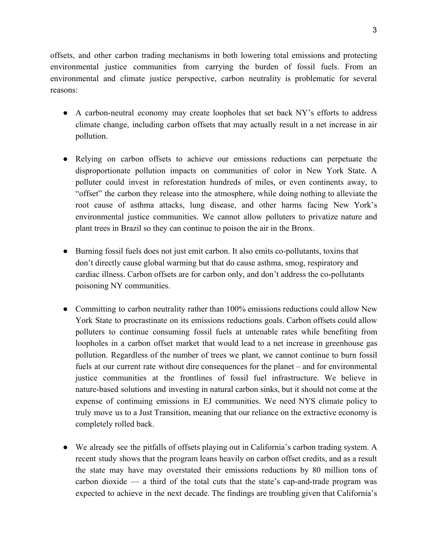offsets, and other carbon trading mechanisms in both lowering total emissions and protecting environmental justice communities from carrying the burden of fossil fuels. From an environmental and climate justice perspective, carbon neutrality is problematic for several reasons:

- A carbon-neutral economy may create loopholes that set back NY's efforts to address climate change, including carbon offsets that may actually result in a net increase in air pollution.
- Relying on carbon offsets to achieve our emissions reductions can perpetuate the disproportionate pollution impacts on communities of color in New York State. A polluter could invest in reforestation hundreds of miles, or even continents away, to "offset" the carbon they release into the atmosphere, while doing nothing to alleviate the root cause of asthma attacks, lung disease, and other harms facing New York's environmental justice communities. We cannot allow polluters to privatize nature and plant trees in Brazil so they can continue to poison the air in the Bronx.
- Burning fossil fuels does not just emit carbon. It also emits co-pollutants, toxins that don't directly cause global warming but that do cause asthma, smog, respiratory and cardiac illness. Carbon offsets are for carbon only, and don't address the co-pollutants poisoning NY communities.
- Committing to carbon neutrality rather than 100% emissions reductions could allow New York State to procrastinate on its emissions reductions goals. Carbon offsets could allow polluters to continue consuming fossil fuels at untenable rates while benefiting from loopholes in a carbon offset market that would lead to a net increase in greenhouse gas pollution. Regardless of the number of trees we plant, we cannot continue to burn fossil fuels at our current rate without dire consequences for the planet – and for environmental justice communities at the frontlines of fossil fuel infrastructure. We believe in nature-based solutions and investing in natural carbon sinks, but it should not come at the expense of continuing emissions in EJ communities. We need NYS climate policy to truly move us to a Just Transition, meaning that our reliance on the extractive economy is completely rolled back.
- We already see the pitfalls of offsets playing out in California's carbon trading system. A recent study shows that the program leans heavily on carbon offset credits, and as a result the state may have may overstated their emissions reductions by 80 million tons of carbon dioxide –– a third of the total cuts that the state's cap-and-trade program was expected to achieve in the next decade. The findings are troubling given that California's